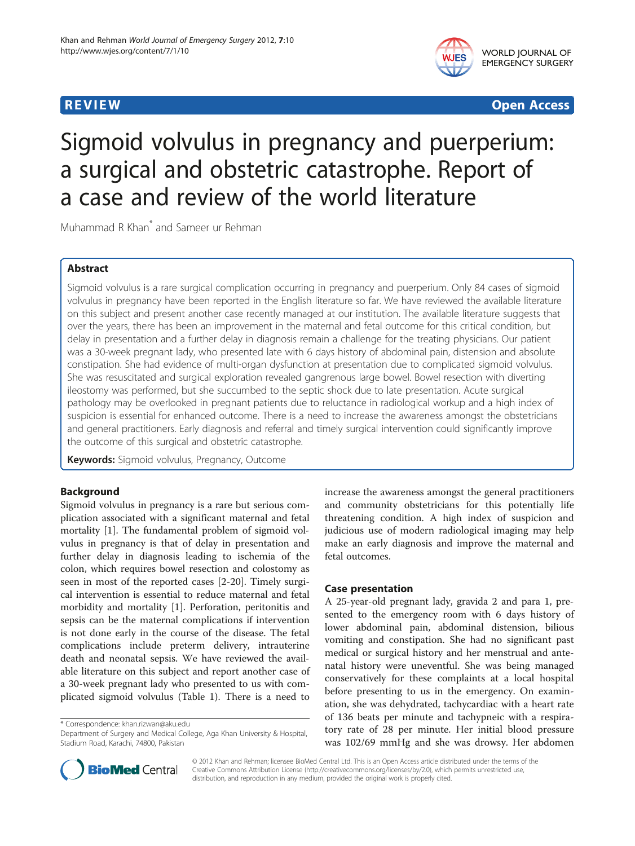

WORLD JOURNAL OF EMERGENCY SURGERY

**REVIEW CONSTRUCTION CONSTRUCTION CONSTRUCTS** 

# Sigmoid volvulus in pregnancy and puerperium: a surgical and obstetric catastrophe. Report of a case and review of the world literature

Muhammad R Khan\* and Sameer ur Rehman

# Abstract

Sigmoid volvulus is a rare surgical complication occurring in pregnancy and puerperium. Only 84 cases of sigmoid volvulus in pregnancy have been reported in the English literature so far. We have reviewed the available literature on this subject and present another case recently managed at our institution. The available literature suggests that over the years, there has been an improvement in the maternal and fetal outcome for this critical condition, but delay in presentation and a further delay in diagnosis remain a challenge for the treating physicians. Our patient was a 30-week pregnant lady, who presented late with 6 days history of abdominal pain, distension and absolute constipation. She had evidence of multi-organ dysfunction at presentation due to complicated sigmoid volvulus. She was resuscitated and surgical exploration revealed gangrenous large bowel. Bowel resection with diverting ileostomy was performed, but she succumbed to the septic shock due to late presentation. Acute surgical pathology may be overlooked in pregnant patients due to reluctance in radiological workup and a high index of suspicion is essential for enhanced outcome. There is a need to increase the awareness amongst the obstetricians and general practitioners. Early diagnosis and referral and timely surgical intervention could significantly improve the outcome of this surgical and obstetric catastrophe.

Keywords: Sigmoid volvulus, Pregnancy, Outcome

# Background

Sigmoid volvulus in pregnancy is a rare but serious complication associated with a significant maternal and fetal mortality [[1\]](#page-3-0). The fundamental problem of sigmoid volvulus in pregnancy is that of delay in presentation and further delay in diagnosis leading to ischemia of the colon, which requires bowel resection and colostomy as seen in most of the reported cases [[2-20\]](#page-3-0). Timely surgical intervention is essential to reduce maternal and fetal morbidity and mortality [[1\]](#page-3-0). Perforation, peritonitis and sepsis can be the maternal complications if intervention is not done early in the course of the disease. The fetal complications include preterm delivery, intrauterine death and neonatal sepsis. We have reviewed the available literature on this subject and report another case of a 30-week pregnant lady who presented to us with complicated sigmoid volvulus (Table [1](#page-1-0)). There is a need to

\* Correspondence: [khan.rizwan@aku.edu](mailto:khan.rizwan@aku.edu)

increase the awareness amongst the general practitioners and community obstetricians for this potentially life threatening condition. A high index of suspicion and judicious use of modern radiological imaging may help make an early diagnosis and improve the maternal and fetal outcomes.

# Case presentation

A 25-year-old pregnant lady, gravida 2 and para 1, presented to the emergency room with 6 days history of lower abdominal pain, abdominal distension, bilious vomiting and constipation. She had no significant past medical or surgical history and her menstrual and antenatal history were uneventful. She was being managed conservatively for these complaints at a local hospital before presenting to us in the emergency. On examination, she was dehydrated, tachycardiac with a heart rate of 136 beats per minute and tachypneic with a respiratory rate of 28 per minute. Her initial blood pressure was 102/69 mmHg and she was drowsy. Her abdomen



© 2012 Khan and Rehman; licensee BioMed Central Ltd. This is an Open Access article distributed under the terms of the Creative Commons Attribution License (<http://creativecommons.org/licenses/by/2.0>), which permits unrestricted use, distribution, and reproduction in any medium, provided the original work is properly cited.

Department of Surgery and Medical College, Aga Khan University & Hospital, Stadium Road, Karachi, 74800, Pakistan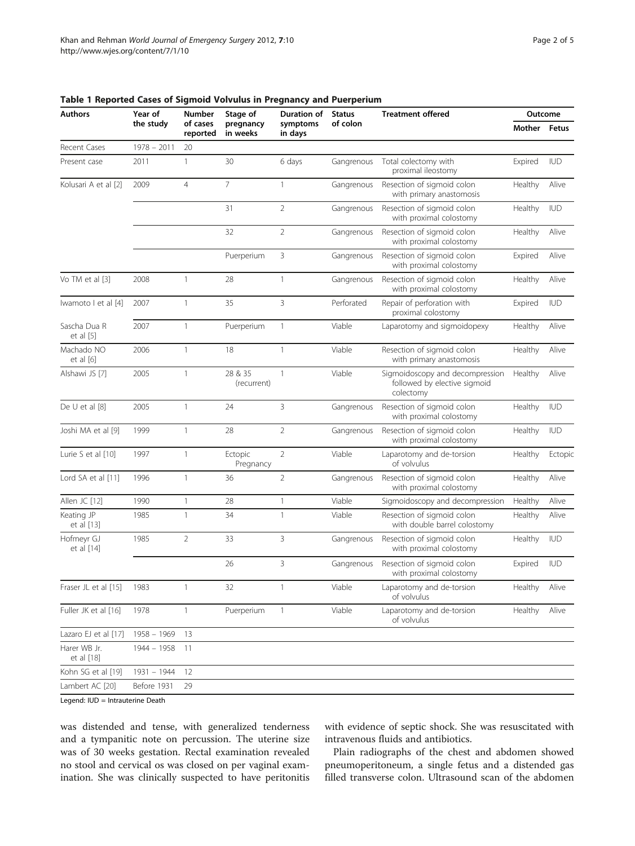| Authors                    | Year of<br>the study | Number<br>of cases<br>reported | Stage of<br>pregnancy<br>in weeks | <b>Duration of</b><br>symptoms<br>in days | <b>Status</b><br>of colon | <b>Treatment offered</b>                                                     | Outcome |            |
|----------------------------|----------------------|--------------------------------|-----------------------------------|-------------------------------------------|---------------------------|------------------------------------------------------------------------------|---------|------------|
|                            |                      |                                |                                   |                                           |                           |                                                                              | Mother  | Fetus      |
| Recent Cases               | $1978 - 2011$        | 20                             |                                   |                                           |                           |                                                                              |         |            |
| Present case               | 2011                 | $\mathbf{1}$                   | 30                                | 6 days                                    | Gangrenous                | Total colectomy with<br>proximal ileostomy                                   | Expired | <b>IUD</b> |
| Kolusari A et al [2]       | 2009                 | $\overline{4}$                 | $\overline{7}$                    | $\mathbf{1}$                              | Gangrenous                | Resection of sigmoid colon<br>with primary anastomosis                       | Healthy | Alive      |
|                            |                      |                                | 31                                | $\overline{2}$                            | Gangrenous                | Resection of sigmoid colon<br>with proximal colostomy                        | Healthy | <b>IUD</b> |
|                            |                      |                                | 32                                | 2                                         | Gangrenous                | Resection of sigmoid colon<br>with proximal colostomy                        | Healthy | Alive      |
|                            |                      |                                | Puerperium                        | 3                                         | Gangrenous                | Resection of sigmoid colon<br>with proximal colostomy                        | Expired | Alive      |
| Vo TM et al [3]            | 2008                 | $\mathbf{1}$                   | 28                                | $\mathbf{1}$                              | Gangrenous                | Resection of sigmoid colon<br>with proximal colostomy                        | Healthy | Alive      |
| Iwamoto I et al [4]        | 2007                 | $\overline{1}$                 | 35                                | 3                                         | Perforated                | Repair of perforation with<br>proximal colostomy                             | Expired | <b>IUD</b> |
| Sascha Dua R<br>et al [5]  | 2007                 | $\mathbf{1}$                   | Puerperium                        | $\mathbf{1}$                              | Viable                    | Laparotomy and sigmoidopexy                                                  | Healthy | Alive      |
| Machado NO<br>et al [6]    | 2006                 | $\mathbf{1}$                   | 18                                | $\mathbf{1}$                              | Viable                    | Resection of sigmoid colon<br>with primary anastomosis                       | Healthy | Alive      |
| Alshawi JS [7]             | 2005                 | $\mathbf{1}$                   | 28 & 35<br>(recurrent)            | $\mathbf{1}$                              | Viable                    | Sigmoidoscopy and decompression<br>followed by elective sigmoid<br>colectomy | Healthy | Alive      |
| De U et al [8]             | 2005                 | $\mathbf{1}$                   | 24                                | 3                                         | Gangrenous                | Resection of sigmoid colon<br>with proximal colostomy                        | Healthy | <b>IUD</b> |
| Joshi MA et al [9]         | 1999                 | $\mathbf{1}$                   | 28                                | $\overline{2}$                            | Gangrenous                | Resection of sigmoid colon<br>with proximal colostomy                        | Healthy | <b>IUD</b> |
| Lurie S et al [10]         | 1997                 | $\mathbf{1}$                   | Ectopic<br>Pregnancy              | $\overline{2}$                            | Viable                    | Laparotomy and de-torsion<br>of volvulus                                     | Healthy | Ectopic    |
| Lord SA et al [11]         | 1996                 | $\mathbf{1}$                   | 36                                | 2                                         | Gangrenous                | Resection of sigmoid colon<br>with proximal colostomy                        | Healthy | Alive      |
| Allen JC [12]              | 1990                 | $\mathbf{1}$                   | 28                                | $\mathbf{1}$                              | Viable                    | Sigmoidoscopy and decompression                                              | Healthy | Alive      |
| Keating JP<br>et al [13]   | 1985                 | $\mathbf{1}$                   | 34                                | 1                                         | Viable                    | Resection of sigmoid colon<br>with double barrel colostomy                   | Healthy | Alive      |
| Hofmeyr GJ<br>et al [14]   | 1985                 | $\overline{2}$                 | 33                                | 3                                         | Gangrenous                | Resection of sigmoid colon<br>with proximal colostomy                        | Healthy | <b>IUD</b> |
|                            |                      |                                | 26                                | 3                                         | Gangrenous                | Resection of sigmoid colon<br>with proximal colostomy                        | Expired | <b>IUD</b> |
| Fraser JL et al [15]       | 1983                 | $\mathbf{1}$                   | 32                                | $\mathbf{1}$                              | Viable                    | Laparotomy and de-torsion<br>of volvulus                                     | Healthy | Alive      |
| Fuller JK et al [16]       | 1978                 | $\mathbf{1}$                   | Puerperium                        | $\mathbf{1}$                              | Viable                    | Laparotomy and de-torsion<br>of volvulus                                     | Healthy | Alive      |
| Lazaro EJ et al [17]       | $1958 - 1969$        | 13                             |                                   |                                           |                           |                                                                              |         |            |
| Harer WB Jr.<br>et al [18] | 1944 - 1958          | -11                            |                                   |                                           |                           |                                                                              |         |            |
| Kohn SG et al [19]         | 1931 - 1944          | 12                             |                                   |                                           |                           |                                                                              |         |            |
| Lambert AC [20]            | Before 1931          | 29                             |                                   |                                           |                           |                                                                              |         |            |
|                            |                      |                                |                                   |                                           |                           |                                                                              |         |            |

<span id="page-1-0"></span>Table 1 Reported Cases of Sigmoid Volvulus in Pregnancy and Puerperium

Legend: IUD = Intrauterine Death

was distended and tense, with generalized tenderness and a tympanitic note on percussion. The uterine size was of 30 weeks gestation. Rectal examination revealed no stool and cervical os was closed on per vaginal examination. She was clinically suspected to have peritonitis with evidence of septic shock. She was resuscitated with intravenous fluids and antibiotics.

Plain radiographs of the chest and abdomen showed pneumoperitoneum, a single fetus and a distended gas filled transverse colon. Ultrasound scan of the abdomen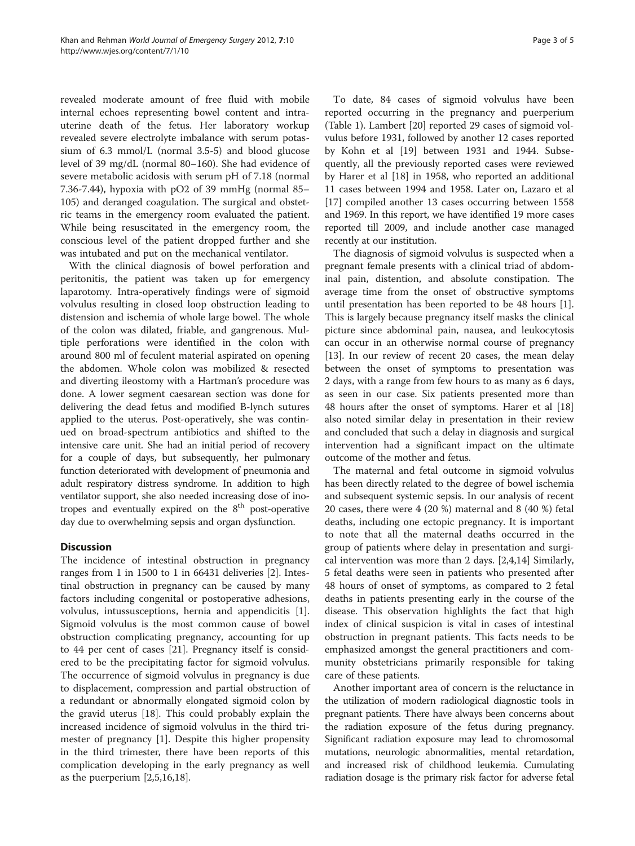revealed moderate amount of free fluid with mobile internal echoes representing bowel content and intrauterine death of the fetus. Her laboratory workup revealed severe electrolyte imbalance with serum potassium of 6.3 mmol/L (normal 3.5-5) and blood glucose level of 39 mg/dL (normal 80–160). She had evidence of severe metabolic acidosis with serum pH of 7.18 (normal 7.36-7.44), hypoxia with pO2 of 39 mmHg (normal 85– 105) and deranged coagulation. The surgical and obstetric teams in the emergency room evaluated the patient. While being resuscitated in the emergency room, the conscious level of the patient dropped further and she was intubated and put on the mechanical ventilator.

With the clinical diagnosis of bowel perforation and peritonitis, the patient was taken up for emergency laparotomy. Intra-operatively findings were of sigmoid volvulus resulting in closed loop obstruction leading to distension and ischemia of whole large bowel. The whole of the colon was dilated, friable, and gangrenous. Multiple perforations were identified in the colon with around 800 ml of feculent material aspirated on opening the abdomen. Whole colon was mobilized & resected and diverting ileostomy with a Hartman's procedure was done. A lower segment caesarean section was done for delivering the dead fetus and modified B-lynch sutures applied to the uterus. Post-operatively, she was continued on broad-spectrum antibiotics and shifted to the intensive care unit. She had an initial period of recovery for a couple of days, but subsequently, her pulmonary function deteriorated with development of pneumonia and adult respiratory distress syndrome. In addition to high ventilator support, she also needed increasing dose of inotropes and eventually expired on the  $8<sup>th</sup>$  post-operative day due to overwhelming sepsis and organ dysfunction.

# **Discussion**

The incidence of intestinal obstruction in pregnancy ranges from 1 in 1500 to 1 in 66431 deliveries [\[2](#page-3-0)]. Intestinal obstruction in pregnancy can be caused by many factors including congenital or postoperative adhesions, volvulus, intussusceptions, hernia and appendicitis [\[1](#page-3-0)]. Sigmoid volvulus is the most common cause of bowel obstruction complicating pregnancy, accounting for up to 44 per cent of cases [\[21](#page-3-0)]. Pregnancy itself is considered to be the precipitating factor for sigmoid volvulus. The occurrence of sigmoid volvulus in pregnancy is due to displacement, compression and partial obstruction of a redundant or abnormally elongated sigmoid colon by the gravid uterus [[18\]](#page-3-0). This could probably explain the increased incidence of sigmoid volvulus in the third trimester of pregnancy [[1\]](#page-3-0). Despite this higher propensity in the third trimester, there have been reports of this complication developing in the early pregnancy as well as the puerperium [[2,5,16,18\]](#page-3-0).

To date, 84 cases of sigmoid volvulus have been reported occurring in the pregnancy and puerperium (Table [1\)](#page-1-0). Lambert [[20\]](#page-3-0) reported 29 cases of sigmoid volvulus before 1931, followed by another 12 cases reported by Kohn et al [\[19](#page-3-0)] between 1931 and 1944. Subsequently, all the previously reported cases were reviewed by Harer et al [[18\]](#page-3-0) in 1958, who reported an additional 11 cases between 1994 and 1958. Later on, Lazaro et al [[17\]](#page-3-0) compiled another 13 cases occurring between 1558 and 1969. In this report, we have identified 19 more cases reported till 2009, and include another case managed recently at our institution.

The diagnosis of sigmoid volvulus is suspected when a pregnant female presents with a clinical triad of abdominal pain, distention, and absolute constipation. The average time from the onset of obstructive symptoms until presentation has been reported to be 48 hours [\[1](#page-3-0)]. This is largely because pregnancy itself masks the clinical picture since abdominal pain, nausea, and leukocytosis can occur in an otherwise normal course of pregnancy [[13\]](#page-3-0). In our review of recent 20 cases, the mean delay between the onset of symptoms to presentation was 2 days, with a range from few hours to as many as 6 days, as seen in our case. Six patients presented more than 48 hours after the onset of symptoms. Harer et al [[18](#page-3-0)] also noted similar delay in presentation in their review and concluded that such a delay in diagnosis and surgical intervention had a significant impact on the ultimate outcome of the mother and fetus.

The maternal and fetal outcome in sigmoid volvulus has been directly related to the degree of bowel ischemia and subsequent systemic sepsis. In our analysis of recent 20 cases, there were 4 (20 %) maternal and 8 (40 %) fetal deaths, including one ectopic pregnancy. It is important to note that all the maternal deaths occurred in the group of patients where delay in presentation and surgical intervention was more than 2 days. [\[2,4,14](#page-3-0)] Similarly, 5 fetal deaths were seen in patients who presented after 48 hours of onset of symptoms, as compared to 2 fetal deaths in patients presenting early in the course of the disease. This observation highlights the fact that high index of clinical suspicion is vital in cases of intestinal obstruction in pregnant patients. This facts needs to be emphasized amongst the general practitioners and community obstetricians primarily responsible for taking care of these patients.

Another important area of concern is the reluctance in the utilization of modern radiological diagnostic tools in pregnant patients. There have always been concerns about the radiation exposure of the fetus during pregnancy. Significant radiation exposure may lead to chromosomal mutations, neurologic abnormalities, mental retardation, and increased risk of childhood leukemia. Cumulating radiation dosage is the primary risk factor for adverse fetal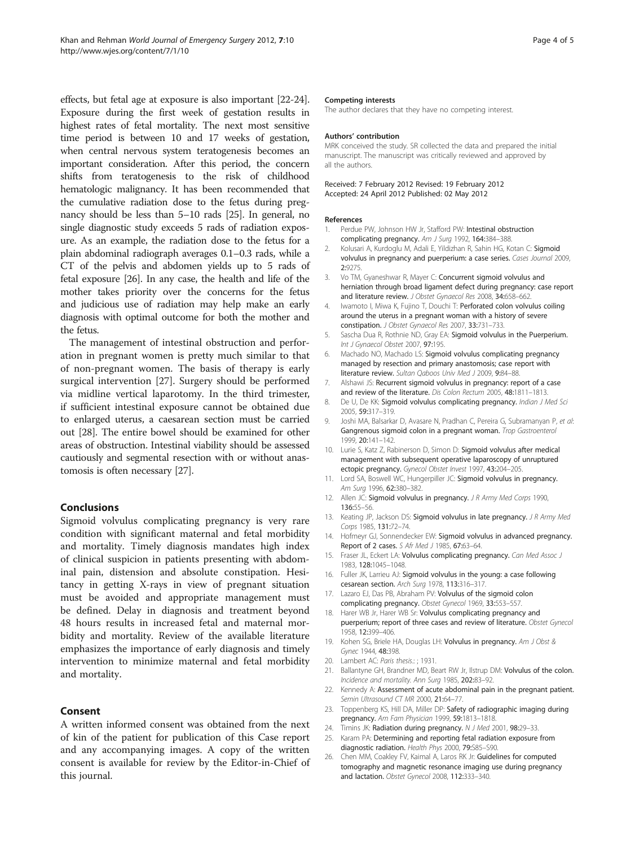<span id="page-3-0"></span>effects, but fetal age at exposure is also important [22-24]. Exposure during the first week of gestation results in highest rates of fetal mortality. The next most sensitive time period is between 10 and 17 weeks of gestation, when central nervous system teratogenesis becomes an important consideration. After this period, the concern shifts from teratogenesis to the risk of childhood hematologic malignancy. It has been recommended that the cumulative radiation dose to the fetus during pregnancy should be less than 5–10 rads [25]. In general, no single diagnostic study exceeds 5 rads of radiation exposure. As an example, the radiation dose to the fetus for a plain abdominal radiograph averages 0.1–0.3 rads, while a CT of the pelvis and abdomen yields up to 5 rads of fetal exposure [26]. In any case, the health and life of the mother takes priority over the concerns for the fetus and judicious use of radiation may help make an early diagnosis with optimal outcome for both the mother and the fetus.

The management of intestinal obstruction and perforation in pregnant women is pretty much similar to that of non-pregnant women. The basis of therapy is early surgical intervention [\[27\]](#page-4-0). Surgery should be performed via midline vertical laparotomy. In the third trimester, if sufficient intestinal exposure cannot be obtained due to enlarged uterus, a caesarean section must be carried out [[28](#page-4-0)]. The entire bowel should be examined for other areas of obstruction. Intestinal viability should be assessed cautiously and segmental resection with or without anastomosis is often necessary [\[27\]](#page-4-0).

# Conclusions

Sigmoid volvulus complicating pregnancy is very rare condition with significant maternal and fetal morbidity and mortality. Timely diagnosis mandates high index of clinical suspicion in patients presenting with abdominal pain, distension and absolute constipation. Hesitancy in getting X-rays in view of pregnant situation must be avoided and appropriate management must be defined. Delay in diagnosis and treatment beyond 48 hours results in increased fetal and maternal morbidity and mortality. Review of the available literature emphasizes the importance of early diagnosis and timely intervention to minimize maternal and fetal morbidity and mortality.

#### Consent

A written informed consent was obtained from the next of kin of the patient for publication of this Case report and any accompanying images. A copy of the written consent is available for review by the Editor-in-Chief of this journal.

#### Competing interests

The author declares that they have no competing interest.

#### Authors' contribution

MRK conceived the study. SR collected the data and prepared the initial manuscript. The manuscript was critically reviewed and approved by all the authors.

#### Received: 7 February 2012 Revised: 19 February 2012 Accepted: 24 April 2012 Published: 02 May 2012

#### References

- 1. Perdue PW, Johnson HW Jr, Stafford PW: Intestinal obstruction complicating pregnancy. Am J Surg 1992, 164:384-388.
- 2. Kolusari A, Kurdoglu M, Adali E, Yildizhan R, Sahin HG, Kotan C: Sigmoid volvulus in pregnancy and puerperium: a case series. Cases Journal 2009, 2:9275.
- 3. Vo TM, Gyaneshwar R, Mayer C: Concurrent sigmoid volvulus and herniation through broad ligament defect during pregnancy: case report and literature review. J Obstet Gynaecol Res 2008, 34:658-662.
- 4. Iwamoto I, Miwa K, Fujino T, Douchi T: Perforated colon volvulus coiling around the uterus in a pregnant woman with a history of severe constipation. J Obstet Gynaecol Res 2007, 33:731–733.
- 5. Sascha Dua R, Rothnie ND, Gray EA: Sigmoid volvulus in the Puerperium. Int J Gynaecol Obstet 2007, 97:195.
- 6. Machado NO, Machado LS: Sigmoid volvulus complicating pregnancy managed by resection and primary anastomosis; case report with literature review. Sultan Qaboos Univ Med J 2009, 9:84–88.
- 7. Alshawi JS: Recurrent sigmoid volvulus in pregnancy: report of a case and review of the literature. Dis Colon Rectum 2005, 48:1811–1813.
- 8. De U, De KK: Sigmoid volvulus complicating pregnancy. Indian J Med Sci 2005, 59:317–319.
- 9. Joshi MA, Balsarkar D, Avasare N, Pradhan C, Pereira G, Subramanyan P, et al: Gangrenous sigmoid colon in a pregnant woman. Trop Gastroenterol 1999, 20:141–142.
- 10. Lurie S, Katz Z, Rabinerson D, Simon D: Sigmoid volvulus after medical management with subsequent operative laparoscopy of unruptured ectopic pregnancy. Gynecol Obstet Invest 1997, 43:204–205.
- 11. Lord SA, Boswell WC, Hungerpiller JC: Sigmoid volvulus in pregnancy. Am Surg 1996, 62:380–382.
- 12. Allen JC: Sigmoid volvulus in pregnancy. J R Army Med Corps 1990, 136:55–56.
- 13. Keating JP, Jackson DS: Sigmoid volvulus in late pregnancy. J R Army Med Corps 1985, 131:72–74.
- 14. Hofmeyr GJ, Sonnendecker EW: Sigmoid volvulus in advanced pregnancy. Report of 2 cases. S Afr Med J 1985, 67:63–64.
- 15. Fraser JL, Eckert LA: Volvulus complicating pregnancy. Can Med Assoc J 1983, 128:1045–1048.
- 16. Fuller JK, Larrieu AJ: Sigmoid volvulus in the young: a case following cesarean section. Arch Surg 1978, 113:316–317.
- 17. Lazaro EJ, Das PB, Abraham PV: Volvulus of the sigmoid colon complicating pregnancy. Obstet Gynecol 1969, 33:553–557.
- 18. Harer WB Jr, Harer WB Sr: Volvulus complicating pregnancy and puerperium; report of three cases and review of literature. Obstet Gynecol 1958, 12:399–406.
- 19. Kohen SG, Briele HA, Douglas LH: Volvulus in pregnancy. Am J Obst & Gynec 1944, 48:398.
- 20. Lambert AC: Paris thesis.: ; 1931.
- 21. Ballantyne GH, Brandner MD, Beart RW Jr, Ilstrup DM: Volvulus of the colon. Incidence and mortality. Ann Surg 1985, 202:83–92.
- 22. Kennedy A: Assessment of acute abdominal pain in the pregnant patient. Semin Ultrasound CT MR 2000, 21:64-77.
- 23. Toppenberg KS, Hill DA, Miller DP: Safety of radiographic imaging during pregnancy. Am Fam Physician 1999, 59:1813–1818.
- 24. Timins JK: Radiation during pregnancy. N J Med 2001, 98:29-33.
- 25. Karam PA: Determining and reporting fetal radiation exposure from diagnostic radiation. Health Phys 2000, 79:S85–S90.
- 26. Chen MM, Coakley FV, Kaimal A, Laros RK Jr: Guidelines for computed tomography and magnetic resonance imaging use during pregnancy and lactation. Obstet Gynecol 2008, 112:333–340.